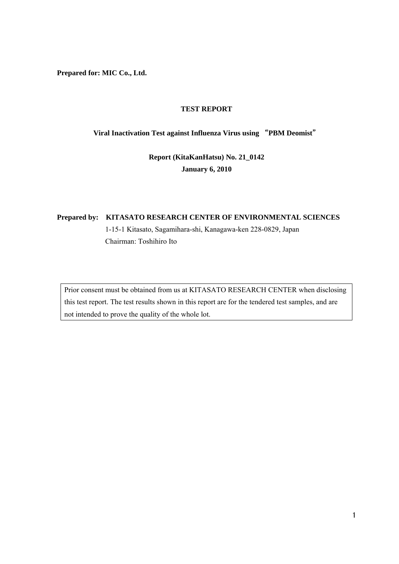**Prepared for: MIC Co., Ltd.** 

## **TEST REPORT**

# **Viral Inactivation Test against Influenza Virus using** "**PBM Deomist**"

# **Report (KitaKanHatsu) No. 21\_0142 January 6, 2010**

# **Prepared by: KITASATO RESEARCH CENTER OF ENVIRONMENTAL SCIENCES**  1-15-1 Kitasato, Sagamihara-shi, Kanagawa-ken 228-0829, Japan Chairman: Toshihiro Ito

Prior consent must be obtained from us at KITASATO RESEARCH CENTER when disclosing this test report. The test results shown in this report are for the tendered test samples, and are not intended to prove the quality of the whole lot.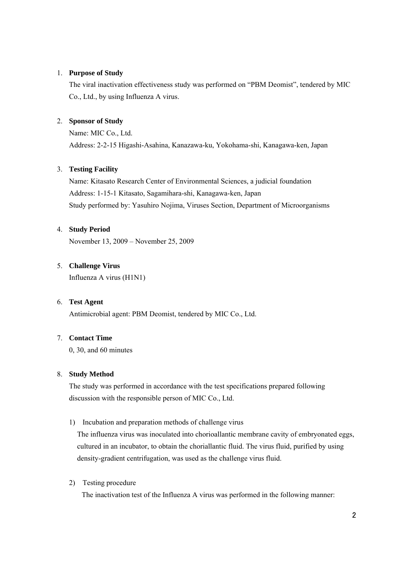#### 1. **Purpose of Study**

The viral inactivation effectiveness study was performed on "PBM Deomist", tendered by MIC Co., Ltd., by using Influenza A virus.

## 2. **Sponsor of Study**

Name: MIC Co., Ltd. Address: 2-2-15 Higashi-Asahina, Kanazawa-ku, Yokohama-shi, Kanagawa-ken, Japan

#### 3. **Testing Facility**

Name: Kitasato Research Center of Environmental Sciences, a judicial foundation Address: 1-15-1 Kitasato, Sagamihara-shi, Kanagawa-ken, Japan Study performed by: Yasuhiro Nojima, Viruses Section, Department of Microorganisms

#### 4. **Study Period**

November 13, 2009 – November 25, 2009

#### 5. **Challenge Virus**

Influenza A virus (H1N1)

#### 6. **Test Agent**

Antimicrobial agent: PBM Deomist, tendered by MIC Co., Ltd.

# 7. **Contact Time**

0, 30, and 60 minutes

## 8. **Study Method**

The study was performed in accordance with the test specifications prepared following discussion with the responsible person of MIC Co., Ltd.

1) Incubation and preparation methods of challenge virus

The influenza virus was inoculated into chorioallantic membrane cavity of embryonated eggs, cultured in an incubator, to obtain the choriallantic fluid. The virus fluid, purified by using density-gradient centrifugation, was used as the challenge virus fluid.

2) Testing procedure

The inactivation test of the Influenza A virus was performed in the following manner: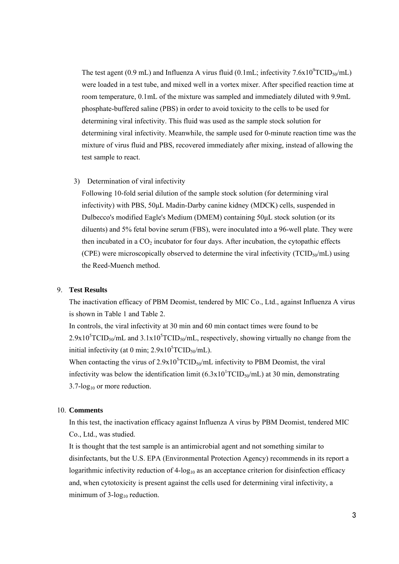The test agent (0.9 mL) and Influenza A virus fluid (0.1mL; infectivity  $7.6x10^9TCID_{50}/mL$ ) were loaded in a test tube, and mixed well in a vortex mixer. After specified reaction time at room temperature, 0.1mL of the mixture was sampled and immediately diluted with 9.9mL phosphate-buffered saline (PBS) in order to avoid toxicity to the cells to be used for determining viral infectivity. This fluid was used as the sample stock solution for determining viral infectivity. Meanwhile, the sample used for 0-minute reaction time was the mixture of virus fluid and PBS, recovered immediately after mixing, instead of allowing the test sample to react.

## 3) Determination of viral infectivity

Following 10-fold serial dilution of the sample stock solution (for determining viral infectivity) with PBS, 50μL Madin-Darby canine kidney (MDCK) cells, suspended in Dulbecco's modified Eagle's Medium (DMEM) containing 50μL stock solution (or its diluents) and 5% fetal bovine serum (FBS), were inoculated into a 96-well plate. They were then incubated in a  $CO<sub>2</sub>$  incubator for four days. After incubation, the cytopathic effects (CPE) were microscopically observed to determine the viral infectivity ( $TCID<sub>50</sub>/mL$ ) using the Reed-Muench method.

#### 9. **Test Results**

The inactivation efficacy of PBM Deomist, tendered by MIC Co., Ltd., against Influenza A virus is shown in Table 1 and Table 2.

In controls, the viral infectivity at 30 min and 60 min contact times were found to be  $2.9x10<sup>5</sup> TCID<sub>50</sub>/mL$  and  $3.1x10<sup>5</sup> TCID<sub>50</sub>/mL$ , respectively, showing virtually no change from the initial infectivity (at 0 min;  $2.9x10<sup>5</sup>TCID<sub>50</sub>/mL$ ).

When contacting the virus of  $2.9x10<sup>5</sup> TCID<sub>50</sub>/mL$  infectivity to PBM Deomist, the viral infectivity was below the identification limit  $(6.3 \times 10^{1} T CID_{50}/mL)$  at 30 min, demonstrating  $3.7$ -log<sub>10</sub> or more reduction.

#### 10. **Comments**

In this test, the inactivation efficacy against Influenza A virus by PBM Deomist, tendered MIC Co., Ltd., was studied.

It is thought that the test sample is an antimicrobial agent and not something similar to disinfectants, but the U.S. EPA (Environmental Protection Agency) recommends in its report a logarithmic infectivity reduction of  $4$ -log<sub>10</sub> as an acceptance criterion for disinfection efficacy and, when cytotoxicity is present against the cells used for determining viral infectivity, a minimum of  $3$ -log<sub>10</sub> reduction.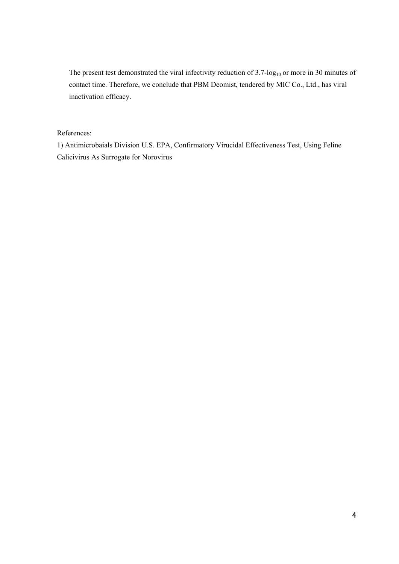The present test demonstrated the viral infectivity reduction of  $3.7$ -log<sub>10</sub> or more in 30 minutes of contact time. Therefore, we conclude that PBM Deomist, tendered by MIC Co., Ltd., has viral inactivation efficacy.

#### References:

1) Antimicrobaials Division U.S. EPA, Confirmatory Virucidal Effectiveness Test, Using Feline Calicivirus As Surrogate for Norovirus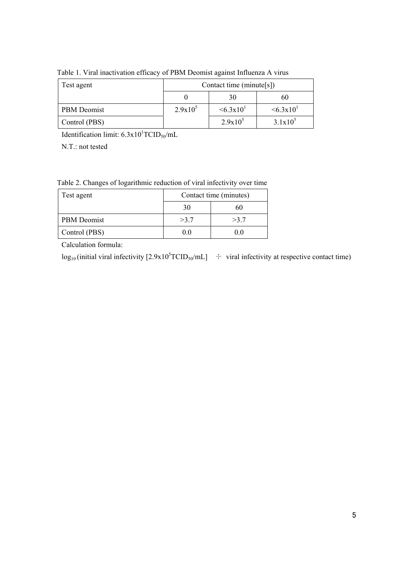| Test agent    | Contact time (minute[s]) |                          |                          |
|---------------|--------------------------|--------------------------|--------------------------|
|               |                          | 30                       | 60                       |
| PBM Deomist   | $2.9x10^5$               | $\leq 6.3 \times 10^{1}$ | $\leq 6.3 \times 10^{1}$ |
| Control (PBS) |                          | $2.9x10^5$               | $3.1x10^5$               |

Table 1. Viral inactivation efficacy of PBM Deomist against Influenza A virus

Identification limit:  $6.3 \times 10^{1} \text{TCID}_{50}/\text{mL}$ 

N.T.: not tested

Table 2. Changes of logarithmic reduction of viral infectivity over time

| Test agent         | Contact time (minutes) |      |  |
|--------------------|------------------------|------|--|
|                    | 30                     | 60   |  |
| <b>PBM</b> Deomist | >3.7                   | >3.7 |  |
| Control (PBS)      | ()()                   |      |  |

Calculation formula:

 $log_{10}$  (initial viral infectivity  $[2.9x10<sup>5</sup>TCID<sub>50</sub>/mL]$   $\div$  viral infectivity at respective contact time)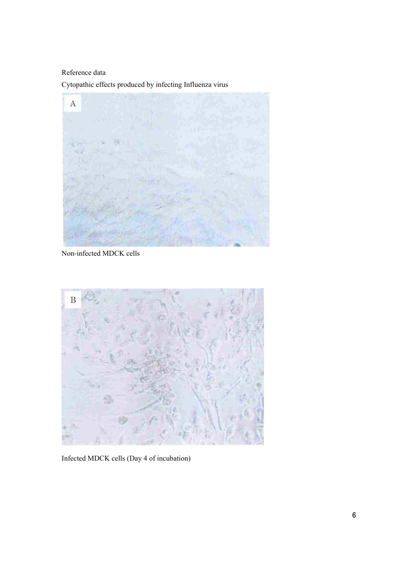Reference data

Cytopathic effects produced by infecting Influenza virus



Non-infected MDCK cells



Infected MDCK cells (Day 4 of incubation)